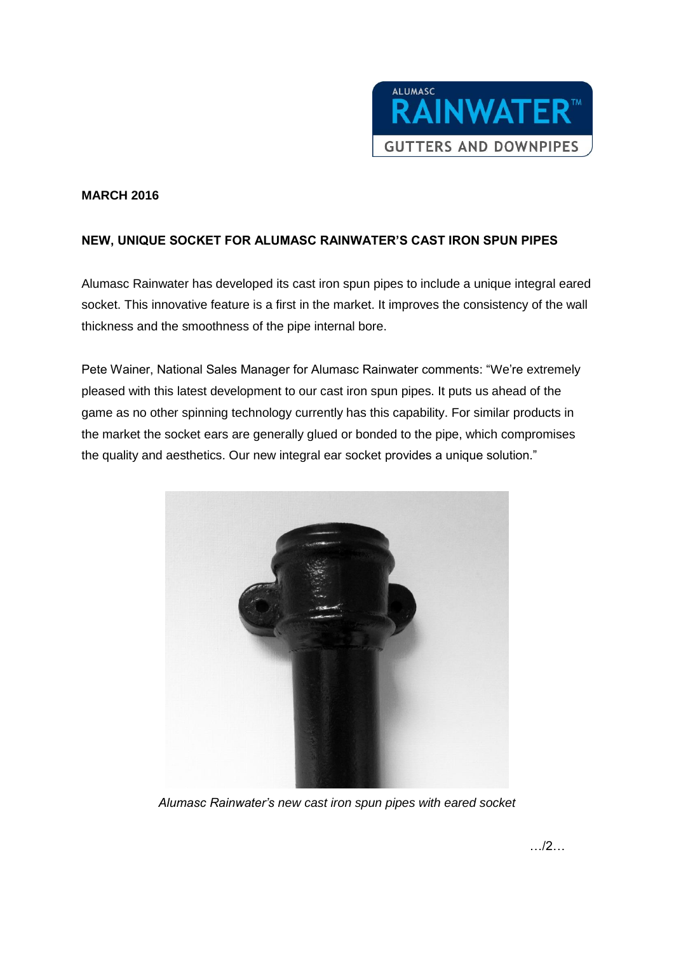

## **MARCH 2016**

## **NEW, UNIQUE SOCKET FOR ALUMASC RAINWATER'S CAST IRON SPUN PIPES**

Alumasc Rainwater has developed its cast iron spun pipes to include a unique integral eared socket. This innovative feature is a first in the market. It improves the consistency of the wall thickness and the smoothness of the pipe internal bore.

Pete Wainer, National Sales Manager for Alumasc Rainwater comments: "We're extremely pleased with this latest development to our cast iron spun pipes. It puts us ahead of the game as no other spinning technology currently has this capability. For similar products in the market the socket ears are generally glued or bonded to the pipe, which compromises the quality and aesthetics. Our new integral ear socket provides a unique solution."



*Alumasc Rainwater's new cast iron spun pipes with eared socket*